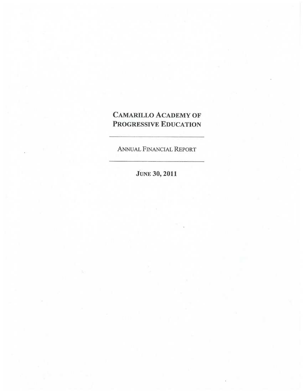# CAMARILLO ACADEMY OF PROGRESSIVE EDUCATION

ANNUAL FINANCIAL REPORT

JUNE 30, 2011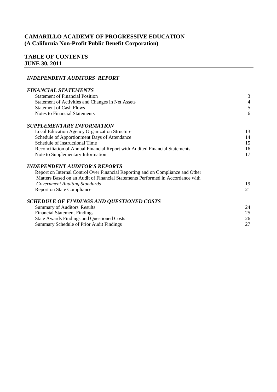# **TABLE OF CONTENTS JUNE 30, 2011**

| <b>INDEPENDENT AUDITORS' REPORT</b>                                             | $\mathbf{1}$   |
|---------------------------------------------------------------------------------|----------------|
| <b>FINANCIAL STATEMENTS</b>                                                     |                |
| <b>Statement of Financial Position</b>                                          | 3              |
| Statement of Activities and Changes in Net Assets                               | $\overline{4}$ |
| <b>Statement of Cash Flows</b>                                                  | 5              |
| <b>Notes to Financial Statements</b>                                            | 6              |
| SUPPLEMENTARY INFORMATION                                                       |                |
| Local Education Agency Organization Structure                                   | 13             |
| Schedule of Apportionment Days of Attendance                                    | 14             |
| Schedule of Instructional Time                                                  | 15             |
| Reconciliation of Annual Financial Report with Audited Financial Statements     | 16             |
| Note to Supplementary Information                                               | 17             |
| <b>INDEPENDENT AUDITOR'S REPORTS</b>                                            |                |
| Report on Internal Control Over Financial Reporting and on Compliance and Other |                |
| Matters Based on an Audit of Financial Statements Performed in Accordance with  |                |
| <b>Government Auditing Standards</b>                                            | 19             |
| <b>Report on State Compliance</b>                                               | 21             |
| SCHEDULE OF FINDINGS AND QUESTIONED COSTS                                       |                |
| <b>Summary of Auditors' Results</b>                                             | 24             |
| <b>Financial Statement Findings</b>                                             | 25             |
| <b>State Awards Findings and Questioned Costs</b>                               | 26             |
| Summary Schedule of Prior Audit Findings                                        | 27             |
|                                                                                 |                |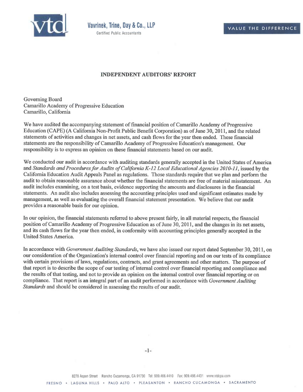

#### **INDEPENDENT AUDITORS' REPORT**

Governing Board Camarillo Academy of Progressive Education Camarillo, California

We have audited the accompanying statement of financial position of Camarillo Academy of Progressive Education (CAPE) (A California Non-Profit Public Benefit Corporation) as of June 30, 2011, and the related statements of activities and changes in net assets, and cash flows for the year then ended. These financial statements are the responsibility of Camarillo Academy of Progressive Education's management. Our responsibility is to express an opinion on these financial statements based on our audit.

We conducted our audit in accordance with auditing standards generally accepted in the United States of America and *Standards and Procedures for Audits of California K-12 Local Educational Agencies 2010-11*, issued by the California Education Audit Appeals Panel as regulations. Those standards require that we plan and perform the audit to obtain reasonable assurance about whether the financial statements are free of material misstatement. An audit includes examining, on a test basis, evidence supporting the amounts and disclosures in the financial statements. An audit also includes assessing the accounting principles used and significant estimates made by management, as well as evaluating the overall financial statement presentation. We believe that our audit provides a reasonable basis for our opinion.

In our opinion, the financial statements referred to above present fairly, in all material respects, the financial position of Camarillo Academy of Progressive Education as of June 30, 2011, and the changes in its net assets, and its cash flows for the year then ended, in conformity with accounting principles generally accepted in the United States America.

In accordance with *Government Auditing Standards,* we have also issued our report dated September 30, 2011, on our consideration of the Organization's internal control over financial reporting and on our tests of its compliance with certain provisions of laws, regulations, contracts, and grant agreements and other matters. The purpose of that report is to describe the scope of our testing of internal control over financial reporting and compliance and the results of that testing, and not to provide an opinion on the internal control over financial reporting or on compliance. That report is an integral part of an audit performed in accordance with *Government Auditing Standards* and should be considered in assessing the results of our audit.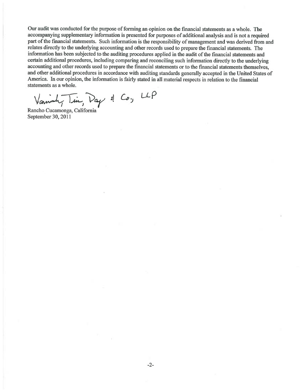Our audit was conducted for the purpose of forming an opinion on the financial statements as a whole. The accompanying supplementary information is presented for purposes of additional analysis and is not a required part of the financial statements. Such information is the responsibility of management and was derived from and relates directly to the underlying accounting and other records used to prepare the financial statements. The information has been subjected to the auditing procedures applied in the audit of the financial statements and certain additional procedures, including comparing and reconciling such information directly to the underlying accounting and other records used to prepare the financial statements or to the financial statements themselves, and other additional procedures in accordance with auditing standards generally accepted in the United States of America. In our opinion, the information is fairly stated in all material respects in relation to the financial statements as a whole.

Varninh, Tin, Day & Co, LLP

Rancho Cucamonga, California September 30, 2011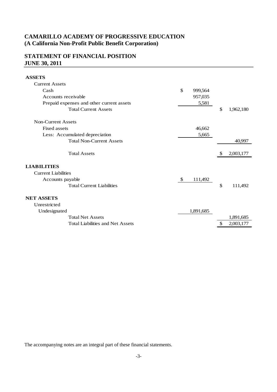# **STATEMENT OF FINANCIAL POSITION JUNE 30, 2011**

**ASSETS**

| \$<br>999,564 |         |           |
|---------------|---------|-----------|
| 957,035       |         |           |
| 5,581         |         |           |
|               | \$      | 1,962,180 |
|               |         |           |
| 46,662        |         |           |
| 5,665         |         |           |
|               |         | 40,997    |
|               |         |           |
|               | S       | 2,003,177 |
|               |         |           |
|               |         |           |
| \$            |         |           |
|               | \$      | 111,492   |
|               |         |           |
|               |         |           |
| 1,891,685     |         |           |
|               |         | 1,891,685 |
|               | \$      | 2,003,177 |
|               | 111,492 |           |

The accompanying notes are an integral part of these financial statements.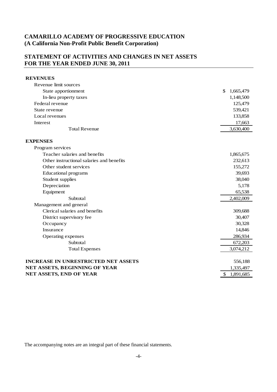### **STATEMENT OF ACTIVITIES AND CHANGES IN NET ASSETS FOR THE YEAR ENDED JUNE 30, 2011**

### **REVENUES** Revenue limit sources State apportionment  $$1,665,479$ In-lieu property taxes 1,148,500 Federal revenue 125,479 State revenue 539,421 Local revenues 133,858 Interest 17,663 Total Revenue 3,630,400 **EXPENSES** Program services Teacher salaries and benefits 1,865,675 Other instructional salaries and benefits 232,613 Other student services 155,272 Educational programs 39,693 Student supplies 38,040 Depreciation 5,178 Equipment 65,538 Subtotal 2,402,009 Management and general Clerical salaries and benefits 309,688 District supervisory fee 30,407 Occupancy 30,328 Insurance 14,846 Operating expenses 286,934 Subtotal 672,203 Total Expenses 3,074,212 **INCREASE IN UNRESTRICTED NET ASSETS** 556,188 **NET ASSETS, BEGINNING OF YEAR** 1,335,497 **NET ASSETS, END OF YEAR** \$ 1,891,685

The accompanying notes are an integral part of these financial statements.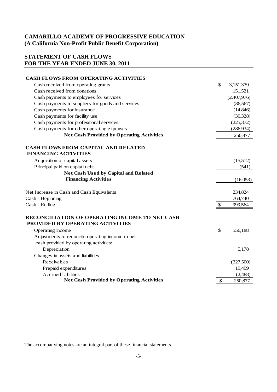# **STATEMENT OF CASH FLOWS FOR THE YEAR ENDED JUNE 30, 2011**

| <b>CASH FLOWS FROM OPERATING ACTIVITIES</b>                                        |                           |                   |
|------------------------------------------------------------------------------------|---------------------------|-------------------|
| Cash received from operating grants                                                | $\mathbb{S}$              | 3,151,379         |
| Cash received from donations                                                       |                           | 151,521           |
| Cash payments to employees for services                                            |                           | (2,407,976)       |
| Cash payments to suppliers for goods and services                                  |                           | (86, 567)         |
| Cash payments for insurance                                                        |                           | (14, 846)         |
| Cash payments for facility use                                                     |                           | (30, 328)         |
| Cash payments for professional services                                            |                           | (225,372)         |
| Cash payments for other operating expenses                                         |                           | (286, 934)        |
| <b>Net Cash Provided by Operating Activities</b>                                   |                           | 250,877           |
| <b>CASH FLOWS FROM CAPITAL AND RELATED</b><br><b>FINANCING ACTIVITIES</b>          |                           |                   |
|                                                                                    |                           |                   |
| Acquisition of capital assets<br>Principal paid on capital debt                    |                           | (15,512)<br>(541) |
| <b>Net Cash Used by Capital and Related</b>                                        |                           |                   |
| <b>Financing Activities</b>                                                        |                           | (16,053)          |
| Net Increase in Cash and Cash Equivalents                                          |                           | 234,824           |
| Cash - Beginning                                                                   |                           | 764,740           |
| Cash - Ending                                                                      | $\boldsymbol{\mathsf{S}}$ | 999,564           |
| RECONCILIATION OF OPERATING INCOME TO NET CASH<br>PROVIDED BY OPERATING ACTIVITIES |                           |                   |
| Operating income                                                                   | \$                        | 556,188           |
| Adjustments to reconcile operating income to net                                   |                           |                   |
| cash provided by operating activities:                                             |                           |                   |
| Depreciation                                                                       |                           | 5,178             |
| Changes in assets and liabilities:                                                 |                           |                   |
| Receivables                                                                        |                           | (327,500)         |
| Prepaid expenditures                                                               |                           | 19,499            |
| <b>Accrued</b> liabilities                                                         |                           | (2,488)           |
| <b>Net Cash Provided by Operating Activities</b>                                   | \$                        | 250,877           |

The accompanying notes are an integral part of these financial statements.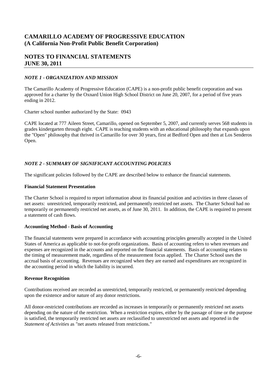### **NOTES TO FINANCIAL STATEMENTS JUNE 30, 2011**

#### *NOTE 1 - ORGANIZATION AND MISSION*

The Camarillo Academy of Progressive Education (CAPE) is a non-profit public benefit corporation and was approved for a charter by the Oxnard Union High School District on June 20, 2007, for a period of five years ending in 2012.

Charter school number authorized by the State: 0943

CAPE located at 777 Aileen Street, Camarillo, opened on September 5, 2007, and currently serves 568 students in grades kindergarten through eight. CAPE is teaching students with an educational philosophy that expands upon the "Open" philosophy that thrived in Camarillo for over 30 years, first at Bedford Open and then at Los Senderos Open.

#### *NOTE 2 - SUMMARY OF SIGNIFICANT ACCOUNTING POLICIES*

The significant policies followed by the CAPE are described below to enhance the financial statements.

#### **Financial Statement Presentation**

The Charter School is required to report information about its financial position and activities in three classes of net assets: unrestricted, temporarily restricted, and permanently restricted net assets. The Charter School had no temporarily or permanently restricted net assets, as of June 30, 2011. In addition, the CAPE is required to present a statement of cash flows.

#### **Accounting Method - Basis of Accounting**

The financial statements were prepared in accordance with accounting principles generally accepted in the United States of America as applicable to not-for-profit organizations. Basis of accounting refers to when revenues and expenses are recognized in the accounts and reported on the financial statements. Basis of accounting relates to the timing of measurement made, regardless of the measurement focus applied. The Charter School uses the accrual basis of accounting. Revenues are recognized when they are earned and expenditures are recognized in the accounting period in which the liability is incurred.

#### **Revenue Recognition**

Contributions received are recorded as unrestricted, temporarily restricted, or permanently restricted depending upon the existence and/or nature of any donor restrictions.

All donor-restricted contributions are recorded as increases in temporarily or permanently restricted net assets depending on the nature of the restriction. When a restriction expires, either by the passage of time or the purpose is satisfied, the temporarily restricted net assets are reclassified to unrestricted net assets and reported in the *Statement of Activities* as "net assets released from restrictions."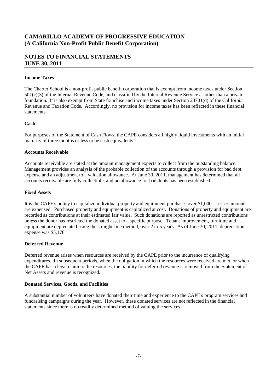### **NOTES TO FINANCIAL STATEMENTS JUNE 30, 2011**

#### **Income Taxes**

The Charter School is a non-profit public benefit corporation that is exempt from income taxes under Section 501(c)(3) of the Internal Revenue Code, and classified by the Internal Revenue Service as other than a private foundation. It is also exempt from State franchise and income taxes under Section 23701(d) of the California Revenue and Taxation Code. Accordingly, no provision for income taxes has been reflected in these financial statements.

#### **Cash**

For purposes of the Statement of Cash Flows, the CAPE considers all highly liquid investments with an initial maturity of three months or less to be cash equivalents.

#### **Accounts Receivable**

Accounts receivable are stated at the amount management expects to collect from the outstanding balance. Management provides an analysis of the probable collection of the accounts through a provision for bad debt expense and an adjustment to a valuation allowance. At June 30, 2011, management has determined that all accounts receivable are fully collectible, and no allowance for bad debts has been established.

#### **Fixed Assets**

It is the CAPE's policy to capitalize individual property and equipment purchases over \$1,000. Lesser amounts are expensed. Purchased property and equipment is capitalized at cost. Donations of property and equipment are recorded as contributions at their estimated fair value. Such donations are reported as unrestricted contributions unless the donor has restricted the donated asset to a specific purpose. Tenant improvement, furniture and equipment are depreciated using the straight-line method, over 2 to 5 years. As of June 30, 2011, depreciation expense was \$5,178.

#### **Deferred Revenue**

Deferred revenue arises when resources are received by the CAPE prior to the incurrence of qualifying expenditures. In subsequent periods, when the obligation in which the resources were received are met, or when the CAPE has a legal claim to the resources, the liability for deferred revenue is removed from the Statement of Net Assets and revenue is recognized.

#### **Donated Services, Goods, and Facilities**

A substantial number of volunteers have donated their time and experience to the CAPE's program services and fundraising campaigns during the year. However, these donated services are not reflected in the financial statements since there is no readily determined method of valuing the services.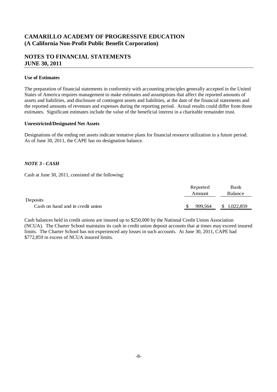### **NOTES TO FINANCIAL STATEMENTS JUNE 30, 2011**

#### **Use of Estimates**

The preparation of financial statements in conformity with accounting principles generally accepted in the United States of America requires management to make estimates and assumptions that affect the reported amounts of assets and liabilities, and disclosure of contingent assets and liabilities, at the date of the financial statements and the reported amounts of revenues and expenses during the reporting period. Actual results could differ from those estimates. Significant estimates include the value of the beneficial interest in a charitable remainder trust.

#### **Unrestricted/Designated Net Assets**

Designations of the ending net assets indicate tentative plans for financial resource utilization in a future period. As of June 30, 2011, the CAPE has no designation balance.

#### *NOTE 3 - CASH*

Cash at June 30, 2011, consisted of the following:

|                                  |     | Reported | Bank            |
|----------------------------------|-----|----------|-----------------|
|                                  |     | Amount   | Balance         |
| Deposits                         |     |          |                 |
| Cash on hand and in credit union | \$. | 999,564  | \$<br>1,022,859 |
|                                  |     |          |                 |

Cash balances held in credit unions are insured up to \$250,000 by the National Credit Union Association (NCUA). The Charter School maintains its cash in credit union deposit accounts that at times may exceed insured limits. The Charter School has not experienced any losses in such accounts. At June 30, 2011, CAPE had \$772,859 in excess of NCUA insured limits.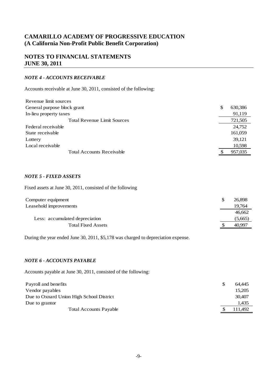### **NOTES TO FINANCIAL STATEMENTS JUNE 30, 2011**

#### *NOTE 4 - ACCOUNTS RECEIVABLE*

Accounts receivable at June 30, 2011, consisted of the following:

| Revenue limit sources              |   |         |
|------------------------------------|---|---------|
| General purpose block grant        | S | 630,386 |
| In-lieu property taxes             |   | 91,119  |
| <b>Total Revenue Limit Sources</b> |   | 721,505 |
| Federal receivable                 |   | 24,752  |
| State receivable                   |   | 161,059 |
| Lottery                            |   | 39,121  |
| Local receivable                   |   | 10,598  |
| <b>Total Accounts Receivable</b>   |   | 957,035 |

#### *NOTE 5 - FIXED ASSETS*

Fixed assets at June 30, 2011, consisted of the following

| Computer equipment             | 26,898  |
|--------------------------------|---------|
| Leasehold improvements         | 19,764  |
|                                | 46,662  |
| Less: accumulated depreciation | (5,665) |
| <b>Total Fixed Assets</b>      | 40,997  |

During the year ended June 30, 2011, \$5,178 was charged to depreciation expense.

#### *NOTE 6 - ACCOUNTS PAYABLE*

Accounts payable at June 30, 2011, consisted of the following:

| Payroll and benefits                     | 64.445  |
|------------------------------------------|---------|
| Vendor payables                          | 15.205  |
| Due to Oxnard Union High School District | 30,407  |
| Due to grantor                           | 1.435   |
| <b>Total Accounts Payable</b>            | 111.492 |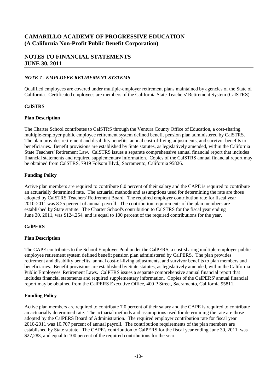### **NOTES TO FINANCIAL STATEMENTS JUNE 30, 2011**

#### *NOTE 7 - EMPLOYEE RETIREMENT SYSTEMS*

Qualified employees are covered under multiple-employer retirement plans maintained by agencies of the State of California. Certificated employees are members of the California State Teachers' Retirement System (CalSTRS).

#### **CalSTRS**

#### **Plan Description**

The Charter School contributes to CalSTRS through the Ventura County Office of Education, a cost-sharing multiple-employer public employee retirement system defined benefit pension plan administered by CalSTRS. The plan provides retirement and disability benefits, annual cost-of-living adjustments, and survivor benefits to beneficiaries. Benefit provisions are established by State statutes, as legislatively amended, within the California State Teachers' Retirement Law. CalSTRS issues a separate comprehensive annual financial report that includes financial statements and required supplementary information. Copies of the CalSTRS annual financial report may be obtained from CalSTRS, 7919 Folsom Blvd., Sacramento, California 95826.

#### **Funding Policy**

Active plan members are required to contribute 8.0 percent of their salary and the CAPE is required to contribute an actuarially determined rate. The actuarial methods and assumptions used for determining the rate are those adopted by CalSTRS Teachers' Retirement Board. The required employer contribution rate for fiscal year 2010-2011 was 8.25 percent of annual payroll. The contribution requirements of the plan members are established by State statute. The Charter School's contribution to CalSTRS for the fiscal year ending June 30, 2011, was \$124,254, and is equal to 100 percent of the required contributions for the year.

#### **CalPERS**

#### **Plan Description**

The CAPE contributes to the School Employer Pool under the CalPERS, a cost-sharing multiple-employer public employee retirement system defined benefit pension plan administered by CalPERS. The plan provides retirement and disability benefits, annual cost-of-living adjustments, and survivor benefits to plan members and beneficiaries. Benefit provisions are established by State statutes, as legislatively amended, within the California Public Employees' Retirement Laws. CalPERS issues a separate comprehensive annual financial report that includes financial statements and required supplementary information. Copies of the CalPERS' annual financial report may be obtained from the CalPERS Executive Office, 400 P Street, Sacramento, California 95811.

#### **Funding Policy**

Active plan members are required to contribute 7.0 percent of their salary and the CAPE is required to contribute an actuarially determined rate. The actuarial methods and assumptions used for determining the rate are those adopted by the CalPERS Board of Administration. The required employer contribution rate for fiscal year 2010-2011 was 10.707 percent of annual payroll. The contribution requirements of the plan members are established by State statute. The CAPE's contribution to CalPERS for the fiscal year ending June 30, 2011, was \$27,283, and equal to 100 percent of the required contributions for the year.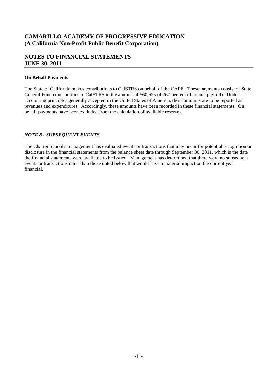### **NOTES TO FINANCIAL STATEMENTS JUNE 30, 2011**

#### **On Behalf Payments**

The State of California makes contributions to CalSTRS on behalf of the CAPE. These payments consist of State General Fund contributions to CalSTRS in the amount of \$60,625 (4.267 percent of annual payroll). Under accounting principles generally accepted in the United States of America, these amounts are to be reported as revenues and expenditures. Accordingly, these amounts have been recorded in these financial statements. On behalf payments have been excluded from the calculation of available reserves.

#### *NOTE 8 - SUBSEQUENT EVENTS*

The Charter School's management has evaluated events or transactions that may occur for potential recognition or disclosure in the financial statements from the balance sheet date through September 30, 2011, which is the date the financial statements were available to be issued. Management has determined that there were no subsequent events or transactions other than those noted below that would have a material impact on the current year financial.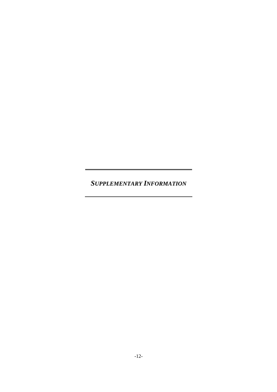*SUPPLEMENTARY INFORMATION*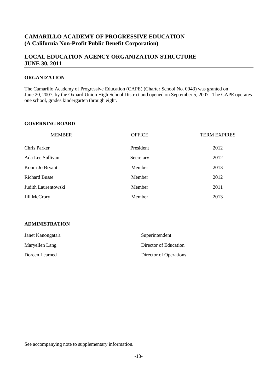### **LOCAL EDUCATION AGENCY ORGANIZATION STRUCTURE JUNE 30, 2011**

#### **ORGANIZATION**

The Camarillo Academy of Progressive Education (CAPE) (Charter School No. 0943) was granted on June 20, 2007, by the Oxnard Union High School District and opened on September 5, 2007. The CAPE operates one school, grades kindergarten through eight.

#### **GOVERNING BOARD**

| <b>MEMBER</b>        | <b>OFFICE</b> | <b>TERM EXPIRES</b> |
|----------------------|---------------|---------------------|
| Chris Parker         | President     | 2012                |
| Ada Lee Sullivan     | Secretary     | 2012                |
| Konni Jo Bryant      | Member        | 2013                |
| <b>Richard Busse</b> | Member        | 2012                |
| Judith Laurentowski  | Member        | 2011                |
| Jill McCrory         | Member        | 2013                |

#### **ADMINISTRATION**

| Janet Kanongata'a | Superintendent         |
|-------------------|------------------------|
| Maryellen Lang    | Director of Education  |
| Doreen Learned    | Director of Operations |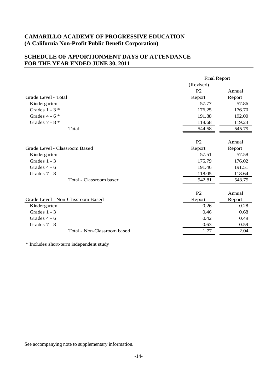# **SCHEDULE OF APPORTIONMENT DAYS OF ATTENDANCE FOR THE YEAR ENDED JUNE 30, 2011**

|                                   | <b>Final Report</b> |        |
|-----------------------------------|---------------------|--------|
|                                   | (Revised)           |        |
|                                   | P <sub>2</sub>      | Annual |
| Grade Level - Total               | Report              | Report |
| Kindergarten                      | 57.77               | 57.86  |
| Grades $1 - 3$ *                  | 176.25              | 176.70 |
| Grades $4 - 6$ *                  | 191.88              | 192.00 |
| Grades 7 - 8 $*$                  | 118.68              | 119.23 |
| Total                             | 544.58              | 545.79 |
|                                   |                     |        |
|                                   | P <sub>2</sub>      | Annual |
| Grade Level - Classroom Based     | Report              | Report |
| Kindergarten                      | 57.51               | 57.58  |
| Grades $1 - 3$                    | 175.79              | 176.02 |
| Grades 4 - 6                      | 191.46              | 191.51 |
| Grades 7 - 8                      | 118.05              | 118.64 |
| Total - Classroom based           | 542.81              | 543.75 |
|                                   |                     |        |
|                                   | P <sub>2</sub>      | Annual |
| Grade Level - Non-Classroom Based | Report              | Report |
| Kindergarten                      | 0.26                | 0.28   |
| Grades 1 - 3                      | 0.46                | 0.68   |
| Grades $4 - 6$                    | 0.42                | 0.49   |
| Grades 7 - 8                      | 0.63                | 0.59   |
| Total - Non-Classroom based       | 1.77                | 2.04   |
|                                   |                     |        |

\* Includes short-term independent study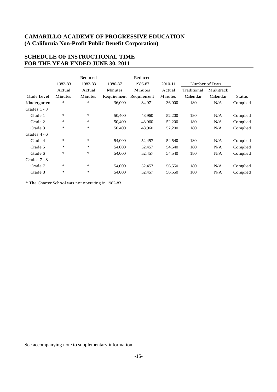# **SCHEDULE OF INSTRUCTIONAL TIME FOR THE YEAR ENDED JUNE 30, 2011**

|                | 1982-83 | Reduced<br>1982-83 | 1986-87     | Reduced<br>1986-87 | 2010-11 |             | Number of Days |               |
|----------------|---------|--------------------|-------------|--------------------|---------|-------------|----------------|---------------|
|                | Actual  | Actual             | Minutes     | Minutes            | Actual  | Traditional | Multitrack     |               |
| Grade Level    | Minutes | Minutes            | Requirement | Requirement        | Minutes | Calendar    | Calendar       | <b>Status</b> |
| Kindergarten   | $\ast$  | $\frac{1}{2}$      | 36,000      | 34,971             | 36,000  | 180         | N/A            | Complied      |
| Grades $1 - 3$ |         |                    |             |                    |         |             |                |               |
| Grade 1        | ∗       | *.                 | 50,400      | 48,960             | 52,200  | 180         | N/A            | Complied      |
| Grade 2        | ∗       | *.                 | 50,400      | 48,960             | 52,200  | 180         | N/A            | Complied      |
| Grade 3        | ∗       | *                  | 50,400      | 48,960             | 52,200  | 180         | N/A            | Complied      |
| Grades $4-6$   |         |                    |             |                    |         |             |                |               |
| Grade 4        | $\ast$  | $\ast$             | 54,000      | 52,457             | 54,540  | 180         | N/A            | Complied      |
| Grade 5        | ∗       | *.                 | 54,000      | 52,457             | 54,540  | 180         | N/A            | Complied      |
| Grade 6        | ∗       | *                  | 54,000      | 52,457             | 54,540  | 180         | N/A            | Complied      |
| Grades $7 - 8$ |         |                    |             |                    |         |             |                |               |
| Grade 7        | $\ast$  | *                  | 54,000      | 52,457             | 56,550  | 180         | N/A            | Complied      |
| Grade 8        | $\ast$  | *                  | 54,000      | 52,457             | 56,550  | 180         | N/A            | Complied      |

\* The Charter School was not operating in 1982-83.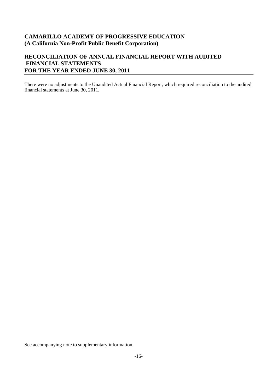### **RECONCILIATION OF ANNUAL FINANCIAL REPORT WITH AUDITED FINANCIAL STATEMENTS FOR THE YEAR ENDED JUNE 30, 2011**

There were no adjustments to the Unaudited Actual Financial Report, which required reconciliation to the audited financial statements at June 30, 2011.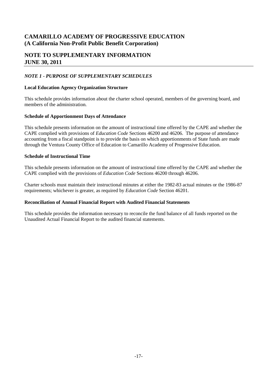### **NOTE TO SUPPLEMENTARY INFORMATION JUNE 30, 2011**

#### *NOTE 1 - PURPOSE OF SUPPLEMENTARY SCHEDULES*

#### **Local Education Agency Organization Structure**

This schedule provides information about the charter school operated, members of the governing board, and members of the administration.

#### **Schedule of Apportionment Days of Attendance**

This schedule presents information on the amount of instructional time offered by the CAPE and whether the CAPE complied with provisions of *Education Code* Sections 46200 and 46206. The purpose of attendance accounting from a fiscal standpoint is to provide the basis on which apportionments of State funds are made through the Ventura County Office of Education to Camarillo Academy of Progressive Education.

#### **Schedule of Instructional Time**

This schedule presents information on the amount of instructional time offered by the CAPE and whether the CAPE complied with the provisions of *Education Code* Sections 46200 through 46206.

Charter schools must maintain their instructional minutes at either the 1982-83 actual minutes or the 1986-87 requirements; whichever is greater, as required by *Education Code* Section 46201.

#### **Reconciliation of Annual Financial Report with Audited Financial Statements**

This schedule provides the information necessary to reconcile the fund balance of all funds reported on the Unaudited Actual Financial Report to the audited financial statements.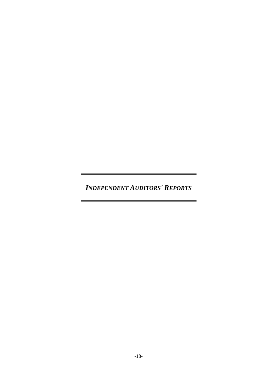*INDEPENDENT AUDITORS' REPORTS*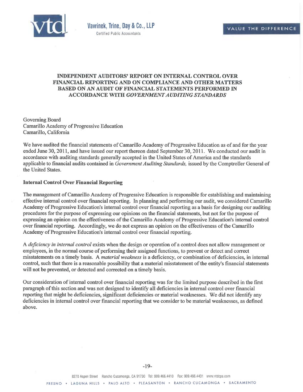

#### **INDEPENDENT AUDITORS' REPORT ON INTERNAL CONTROL OVER FINANCIAL REPORTING AND ON COMPLIANCE AND OTHER MATTERS BASED ON AN AUDIT OF FINANCIAL STATEMENTS PERFORMED IN ACCORDANCE WITH** *GOVERNMENT AUDITING STANDARDS*

Governing Board Camarillo Academy of Progressive Education Camarillo, California

We have audited the financial statements of Camarillo Academy of Progressive Education as of and for the year ended June 30, 2011, and have issued our report thereon dated September 30, 2011. We conducted our audit in accordance with auditing standards generally accepted in the United States of America and the standards applicable to financial audits contained in *Government Auditing Standards,* issued by the Comptroller General of the United States.

#### **Internal Control Over Financial Reporting**

The management of Camarillo Academy of Progressive Education is responsible for establishing and maintaining effective internal control over financial reporting. In planning and performing our audit, we considered Camarillo Academy of Progressive Education's internal control over financial reporting as a basis for designing our auditing procedures for the purpose of expressing our opinions on the financial statements, but not for the purpose of expressing an opinion on the effectiveness of the Camarillo Academy of Progressive Education's internal control over financial reporting. Accordingly, we do not express an opinion on the effectiveness of the Camarillo Academy of Progressive Education's internal control over financial reporting.

A *deficiency in internal control* exists when the design or operation of a control does not allow management or employees, in the normal course of performing their assigned functions, to prevent or detect and correct misstatements on a timely basis. A *material weakness* is a deficiency, or combination of deficiencies, in internal control, such that there is a reasonable possibility that a material misstatement of the entity's financial statements will not be prevented, or detected and corrected on a timely basis.

Our consideration of internal control over financial reporting was for the limited purpose described in the first paragraph of this section and was not designed to identify all deficiencies in internal control over financial reporting that might be deficiencies, significant deficiencies or material weaknesses. We did not identify any deficiencies in internal control over financial reporting that we consider to be material weaknesses, as defined above.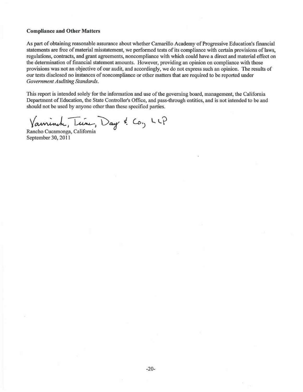#### **Compliance and Other Matters**

As part of obtaining reasonable assurance about whether Camarillo Academy of Progressive Education's financial statements are free of material misstatement, we performed tests of its compliance with certain provisions of laws, regulations, contracts, and grant agreements, noncompliance with which could have a direct and material effect on the determination of financial statement amounts. However, providing an opinion on compliance with those provisions was not an objective of our audit, and accordingly, we do not express such an opinion. The results of our tests disclosed no instances of noncompliance or other matters that are required to be reported under *Government Auditing Standards.* 

This report is intended solely for the information and use of the governing board, management, the California Department of Education, the State Controller's Office, and pass-through entities, and is not intended to be and should not be used by anyone other than these specified parties.

Vanninch, Tune, Day & Co, LLP

Rancho Cucamonga, California September 30, 2011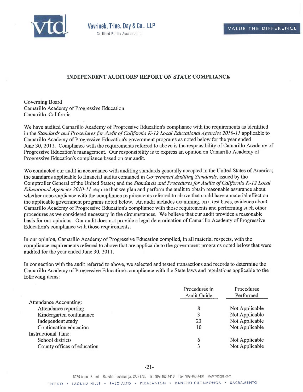

#### **INDEPENDENT AUDITORS' REPORT ON STATE COMPLIANCE**

Governing Board Camarillo Academy of Progressive Education Camarillo, California

We have audited Camarillo Academy of Progressive Education's compliance with the requirements as identified in the *Standards and Procedures for Audit of California K-12 Local Educational Agencies 2010-11* applicable to Camarillo Academy of Progressive Education's government programs as noted below for the year ended June 30, 2011. Compliance with the requirements referred to above is the responsibility of Camarillo Academy of Progressive Education's management. Our responsibility is to express an opinion on Camarillo Academy of Progressive Education's compliance based on our audit.

We conducted our audit in accordance with auditing standards generally accepted in the United States of America; the standards applicable to financial audits contained in *Government Auditing Standards,* issued by the Comptroller General of the United States; and the *Standards and Procedures for Audits of California K-12 Local Educational Agencies 2010-11* require that we plan and perform the audit to obtain reasonable assurance about whether noncompliance with the compliance requirements referred to above that could have a material effect on the applicable government programs noted below. An audit includes examining, on a test basis, evidence about Camarillo Academy of Progressive Education's compliance with those requirements and performing such other procedures as we considered necessary in the circumstances. We believe that our audit provides a reasonable basis for our opinions. Our audit does not provide a legal determination of Camarillo Academy of Progressive Education's compliance with those requirements.

In our opinion, Camarillo Academy of Progressive Education complied, in all material respects, with the compliance requirements referred to above that are applicable to the government programs noted below that were audited for the year ended June 30, 2011.

In connection with the audit referred to above, we selected and tested transactions and records to determine the Camarillo Academy of Progressive Education's compliance with the State laws and regulations applicable to the following items:

|                               | Procedures in<br><b>Audit Guide</b> | Procedures<br>Performed |
|-------------------------------|-------------------------------------|-------------------------|
| <b>Attendance Accounting:</b> |                                     |                         |
| Attendance reporting          | 8                                   | Not Applicable          |
| Kindergarten continuance      |                                     | Not Applicable          |
| Independent study             | 23                                  | Not Applicable          |
| Continuation education        | 10                                  | Not Applicable          |
| <b>Instructional Time:</b>    |                                     |                         |
| School districts              | 6                                   | Not Applicable          |
| County offices of education   |                                     | Not Applicable          |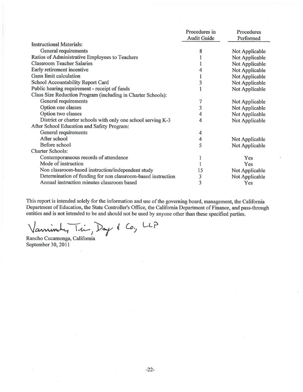|                                                              | Procedures in      | Procedures     |
|--------------------------------------------------------------|--------------------|----------------|
|                                                              | <b>Audit Guide</b> | Performed      |
| <b>Instructional Materials:</b>                              |                    |                |
| General requirements                                         | 8                  | Not Applicable |
| Ratios of Administrative Employees to Teachers               |                    | Not Applicable |
| <b>Classroom Teacher Salaries</b>                            |                    | Not Applicable |
| Early retirement incentive                                   | 4                  | Not Applicable |
| Gann limit calculation                                       |                    | Not Applicable |
| School Accountability Report Card                            | 3                  | Not Applicable |
| Public hearing requirement - receipt of funds                |                    | Not Applicable |
| Class Size Reduction Program (including in Charter Schools): |                    |                |
| General requirements                                         | 7                  | Not Applicable |
| Option one classes                                           | 3                  | Not Applicable |
| Option two classes                                           | 4                  | Not Applicable |
| District or charter schools with only one school serving K-3 | 4                  | Not Applicable |
| After School Education and Safety Program:                   |                    |                |
| General requirements                                         | 4                  |                |
| After school                                                 | 4                  | Not Applicable |
| Before school                                                | 5                  | Not Applicable |
| <b>Charter Schools:</b>                                      |                    |                |
| Contemporaneous records of attendance                        | 1                  | Yes            |
| Mode of instruction                                          |                    | Yes            |
| Non classroom-based instruction/independent study            | 15                 | Not Applicable |
| Determination of funding for non classroom-based instruction | 3                  | Not Applicable |
| Annual instruction minutes classroom based                   | 3                  | Yes            |

This report is intended solely for the information and use of the governing board, management, the California Department of Education, the State Controller's Office, the California Department of Finance, and pass-through entities and is not intended to be and should not be used by anyone other than these specified parties.

 $\alpha$ <sup>1</sup>/ *animates 10 de 2008 should*  $Co.$  LLP

 $\hat{\mathbf{v}}$ 

Rancho Cucamonga, California September 30, 2011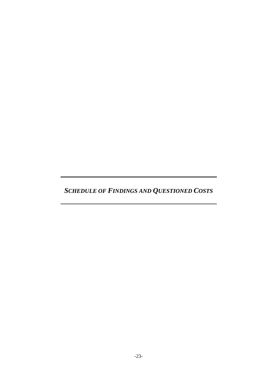*SCHEDULE OF FINDINGS AND QUESTIONED COSTS*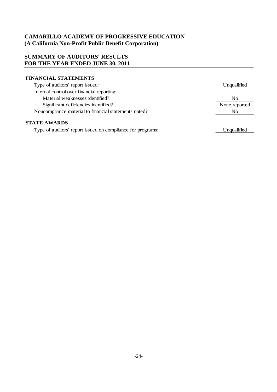## **SUMMARY OF AUDITORS' RESULTS FOR THE YEAR ENDED JUNE 30, 2011**

#### **FINANCIAL STATEMENTS**

| Type of auditors' report issued:                      | Unqualified   |
|-------------------------------------------------------|---------------|
| Internal control over financial reporting:            |               |
| Material weaknesses identified?                       | No            |
| Significant deficiencies identified?                  | None reported |
| Noncompliance material to financial statements noted? | No            |
| <b>STATE AWARDS</b>                                   |               |

Type of auditors' report issued on compliance for programs:

Unqualified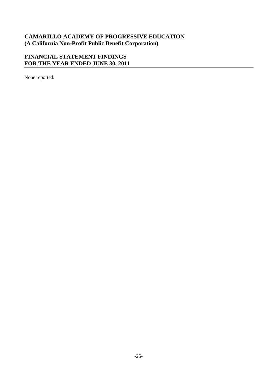# **FINANCIAL STATEMENT FINDINGS FOR THE YEAR ENDED JUNE 30, 2011**

None reported.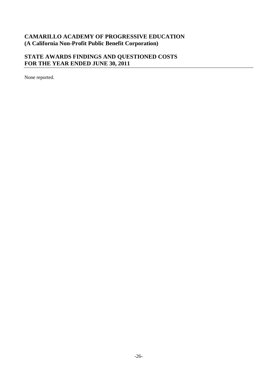# **STATE AWARDS FINDINGS AND QUESTIONED COSTS FOR THE YEAR ENDED JUNE 30, 2011**

None reported.